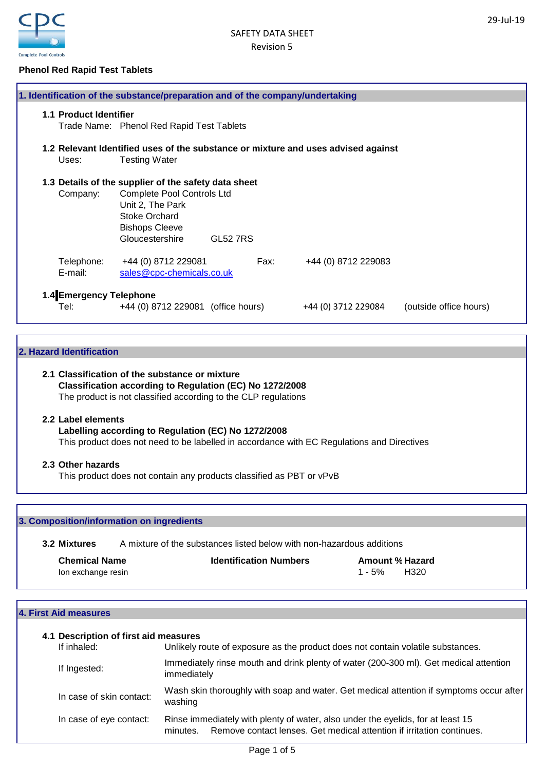

## **Phenol Red Rapid Test Tablets**

| 1. Identification of the substance/preparation and of the company/undertaking |                                                                                                                    |          |                                                                                   |                        |
|-------------------------------------------------------------------------------|--------------------------------------------------------------------------------------------------------------------|----------|-----------------------------------------------------------------------------------|------------------------|
| <b>1.1 Product Identifier</b>                                                 | Trade Name: Phenol Red Rapid Test Tablets                                                                          |          |                                                                                   |                        |
| Uses:                                                                         | <b>Testing Water</b>                                                                                               |          | 1.2 Relevant Identified uses of the substance or mixture and uses advised against |                        |
|                                                                               | 1.3 Details of the supplier of the safety data sheet                                                               |          |                                                                                   |                        |
| Company:                                                                      | <b>Complete Pool Controls Ltd</b><br>Unit 2, The Park<br>Stoke Orchard<br><b>Bishops Cleeve</b><br>Gloucestershire | GL52 7RS |                                                                                   |                        |
| Telephone:<br>E-mail:                                                         | +44 (0) 8712 229081<br>sales@cpc-chemicals.co.uk                                                                   | Fax:     | +44 (0) 8712 229083                                                               |                        |
| 1.4 Emergency Telephone<br>Tel: l                                             | +44 (0) 8712 229081 (office hours)                                                                                 |          | +44 (0) 3712 229084                                                               | (outside office hours) |

## **2. Hazard Identification**

## **2.1 Classification of the substance or mixture Classification according to Regulation (EC) No 1272/2008** The product is not classified according to the CLP regulations

## **2.2 Label elements**

## **Labelling according to Regulation (EC) No 1272/2008**

This product does not need to be labelled in accordance with EC Regulations and Directives

## **2.3 Other hazards**

This product does not contain any products classified as PBT or vPvB

## **3. Composition/information on ingredients**

**3.2 Mixtures** A mixture of the substances listed below with non-hazardous additions

| <b>Chemical Name</b> | <b>Identification Numbers</b> | <b>Amount % Hazard</b> |
|----------------------|-------------------------------|------------------------|
| lon exchange resin   |                               | H320<br>$1 - 5%$       |

#### **4. First Aid measures**

| 4.1 Description of first aid measures |                                                                                                                                                                      |
|---------------------------------------|----------------------------------------------------------------------------------------------------------------------------------------------------------------------|
| If inhaled:                           | Unlikely route of exposure as the product does not contain volatile substances.                                                                                      |
| If Ingested:                          | Immediately rinse mouth and drink plenty of water (200-300 ml). Get medical attention<br>immediately                                                                 |
| In case of skin contact:              | Wash skin thoroughly with soap and water. Get medical attention if symptoms occur after<br>washing                                                                   |
| In case of eye contact:               | Rinse immediately with plenty of water, also under the eyelids, for at least 15<br>Remove contact lenses. Get medical attention if irritation continues.<br>minutes. |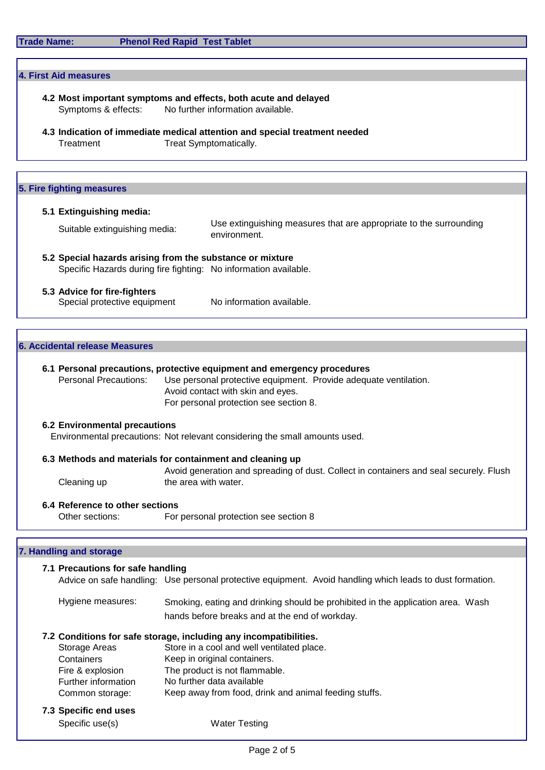| <b>Trade Name:</b> |  |
|--------------------|--|
|--------------------|--|

**4. First Aid measures**

## **Phenol Red Rapid Test Tablet**

**4.2 Most important symptoms and effects, both acute and delayed**

| Symptoms & effects:                                | No further information available.                                                                                                                                                                                               |
|----------------------------------------------------|---------------------------------------------------------------------------------------------------------------------------------------------------------------------------------------------------------------------------------|
| Treatment                                          | 4.3 Indication of immediate medical attention and special treatment needed<br>Treat Symptomatically.                                                                                                                            |
|                                                    |                                                                                                                                                                                                                                 |
|                                                    |                                                                                                                                                                                                                                 |
|                                                    | Use extinguishing measures that are appropriate to the surrounding<br>environment.                                                                                                                                              |
|                                                    | 5.2 Special hazards arising from the substance or mixture<br>Specific Hazards during fire fighting: No information available.                                                                                                   |
| 5.3 Advice for fire-fighters                       | No information available.                                                                                                                                                                                                       |
|                                                    |                                                                                                                                                                                                                                 |
|                                                    |                                                                                                                                                                                                                                 |
| <b>Personal Precautions:</b>                       | 6.1 Personal precautions, protective equipment and emergency procedures<br>Use personal protective equipment. Provide adequate ventilation.<br>Avoid contact with skin and eyes.<br>For personal protection see section 8.      |
| <b>6.2 Environmental precautions</b>               | Environmental precautions: Not relevant considering the small amounts used.                                                                                                                                                     |
|                                                    | 6.3 Methods and materials for containment and cleaning up                                                                                                                                                                       |
| Cleaning up                                        | Avoid generation and spreading of dust. Collect in containers and seal securely. Flush<br>the area with water.                                                                                                                  |
| 6.4 Reference to other sections<br>Other sections: | For personal protection see section 8                                                                                                                                                                                           |
|                                                    |                                                                                                                                                                                                                                 |
|                                                    |                                                                                                                                                                                                                                 |
|                                                    | Advice on safe handling: Use personal protective equipment. Avoid handling which leads to dust formation.                                                                                                                       |
| Hygiene measures:                                  | Smoking, eating and drinking should be prohibited in the application area. Wash<br>hands before breaks and at the end of workday.                                                                                               |
|                                                    | 5. Fire fighting measures<br>5.1 Extinguishing media:<br>Suitable extinguishing media:<br>Special protective equipment<br><b>6. Accidental release Measures</b><br>7. Handling and storage<br>7.1 Precautions for safe handling |

## **7.2 Conditions for safe storage, including any incompatibilities.**

| Storage Areas       | Store in a cool and well ventilated place.            |
|---------------------|-------------------------------------------------------|
| Containers          | Keep in original containers.                          |
| Fire & explosion    | The product is not flammable.                         |
| Further information | No further data available                             |
| Common storage:     | Keep away from food, drink and animal feeding stuffs. |
|                     |                                                       |

**7.3 Specific end uses** Specific use(s) Water Testing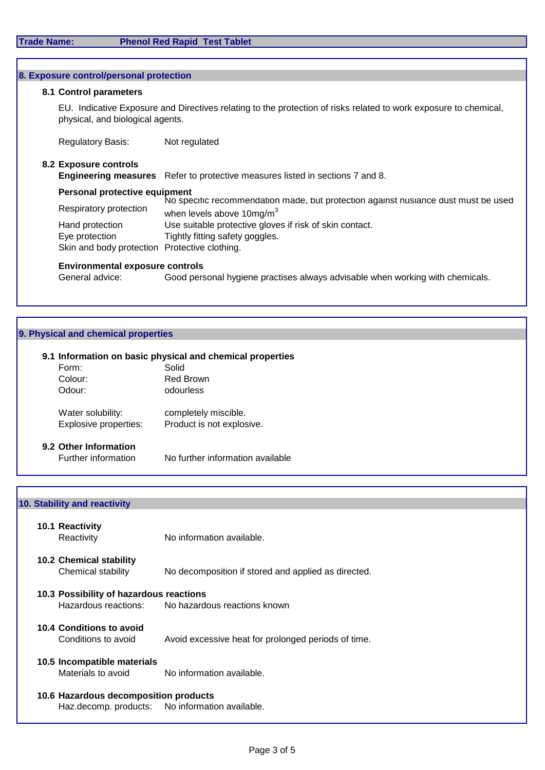| 8. Exposure control/personal protection       |                                                                                                                                                      |  |  |
|-----------------------------------------------|------------------------------------------------------------------------------------------------------------------------------------------------------|--|--|
| 8.1 Control parameters                        |                                                                                                                                                      |  |  |
|                                               | EU. Indicative Exposure and Directives relating to the protection of risks related to work exposure to chemical,<br>physical, and biological agents. |  |  |
| <b>Regulatory Basis:</b>                      | Not regulated                                                                                                                                        |  |  |
| 8.2 Exposure controls                         |                                                                                                                                                      |  |  |
|                                               | <b>Engineering measures</b> Refer to protective measures listed in sections 7 and 8.                                                                 |  |  |
|                                               | Personal protective equipment                                                                                                                        |  |  |
| Respiratory protection                        | No specific recommendation made, but protection against nusiance dust must be used<br>when levels above $10\text{mg/m}^3$                            |  |  |
| Hand protection                               | Use suitable protective gloves if risk of skin contact.                                                                                              |  |  |
| Eye protection                                | Tightly fitting safety goggles.                                                                                                                      |  |  |
| Skin and body protection Protective clothing. |                                                                                                                                                      |  |  |
| <b>Environmental exposure controls</b>        |                                                                                                                                                      |  |  |

## General advice: Good personal hygiene practises always advisable when working with chemicals.

## **9. Physical and chemical properties**

## **9.1 Information on basic physical and chemical properties**

| Form:                                      | Solid                                             |
|--------------------------------------------|---------------------------------------------------|
| Colour:                                    | <b>Red Brown</b>                                  |
| Odour:                                     | odourless                                         |
| Water solubility:<br>Explosive properties: | completely miscible.<br>Product is not explosive. |
|                                            |                                                   |

# **9.2 Other Information**

No further information available

## **10. Stability and reactivity**

| 10.1 Reactivity<br>Reactivity                        | No information available.                           |
|------------------------------------------------------|-----------------------------------------------------|
| <b>10.2 Chemical stability</b><br>Chemical stability | No decomposition if stored and applied as directed. |
| 10.3 Possibility of hazardous reactions              | Hazardous reactions: No hazardous reactions known   |
| 10.4 Conditions to avoid<br>Conditions to avoid      | Avoid excessive heat for prolonged periods of time. |
| 10.5 Incompatible materials<br>Materials to avoid    | No information available.                           |
| 10.6 Hazardous decomposition products                | Haz.decomp. products: No information available.     |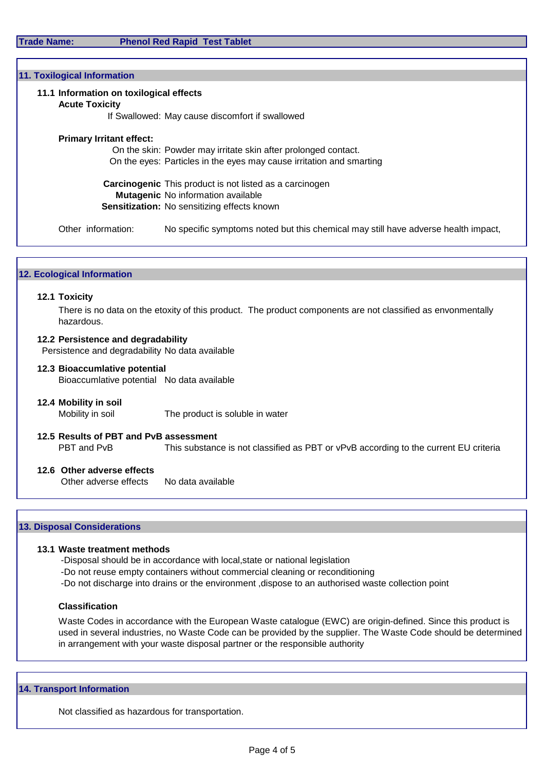**Trade Name: Phenol Red Rapid Test Tablet**

| 11. Toxilogical Information                                      |                                                                                    |
|------------------------------------------------------------------|------------------------------------------------------------------------------------|
| 11.1 Information on toxilogical effects<br><b>Acute Toxicity</b> |                                                                                    |
|                                                                  | If Swallowed: May cause discomfort if swallowed                                    |
| <b>Primary Irritant effect:</b>                                  |                                                                                    |
|                                                                  | On the skin: Powder may irritate skin after prolonged contact.                     |
|                                                                  | On the eyes: Particles in the eyes may cause irritation and smarting               |
|                                                                  | <b>Carcinogenic</b> This product is not listed as a carcinogen                     |
|                                                                  | <b>Mutagenic</b> No information available                                          |
|                                                                  | <b>Sensitization:</b> No sensitizing effects known                                 |
| Other information:                                               | No specific symptoms noted but this chemical may still have adverse health impact, |
|                                                                  |                                                                                    |

## **12. Ecological Information**

## **12.1 Toxicity**

There is no data on the etoxity of this product. The product components are not classified as envonmentally hazardous.

## **12.2 Persistence and degradability**

Persistence and degradability No data available

**12.3 Bioaccumlative potential**

Bioaccumlative potential No data available

**12.4 Mobility in soil**

Mobility in soil The product is soluble in water

## **12.5 Results of PBT and PvB assessment** This substance is not classified as PBT or vPvB according to the current EU criteria

## **12.6 Other adverse effects**

Other adverse effects No data available

#### **13. Disposal Considerations**

#### **13.1 Waste treatment methods**

-Disposal should be in accordance with local,state or national legislation

- -Do not reuse empty containers without commercial cleaning or reconditioning
- -Do not discharge into drains or the environment ,dispose to an authorised waste collection point

## **Classification**

Waste Codes in accordance with the European Waste catalogue (EWC) are origin-defined. Since this product is used in several industries, no Waste Code can be provided by the supplier. The Waste Code should be determined in arrangement with your waste disposal partner or the responsible authority

#### **14. Transport Information**

Not classified as hazardous for transportation.